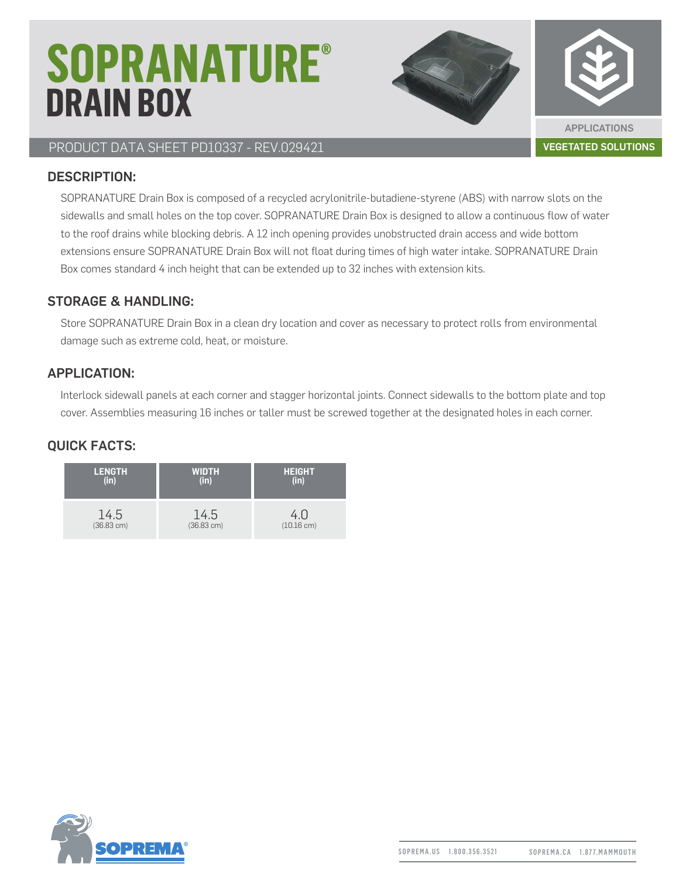# **SOPRANATURE® DRAIN BOX**





#### PRODUCT DATA SHEET PD10337 - REV.029421 VEGETATED SOLUTIONS

#### DESCRIPTION:

SOPRANATURE Drain Box is composed of a recycled acrylonitrile-butadiene-styrene (ABS) with narrow slots on the sidewalls and small holes on the top cover. SOPRANATURE Drain Box is designed to allow a continuous flow of water to the roof drains while blocking debris. A 12 inch opening provides unobstructed drain access and wide bottom extensions ensure SOPRANATURE Drain Box will not float during times of high water intake. SOPRANATURE Drain Box comes standard 4 inch height that can be extended up to 32 inches with extension kits.

#### STORAGE & HANDLING:

Store SOPRANATURE Drain Box in a clean dry location and cover as necessary to protect rolls from environmental damage such as extreme cold, heat, or moisture.

### APPLICATION:

Interlock sidewall panels at each corner and stagger horizontal joints. Connect sidewalls to the bottom plate and top cover. Assemblies measuring 16 inches or taller must be screwed together at the designated holes in each corner.

### QUICK FACTS:

| <b>LENGTH</b>                | <b>WIDTH</b>                 | <b>HEIGHT</b>        |
|------------------------------|------------------------------|----------------------|
| (in)                         | (in)                         | (in)                 |
| 14.5<br>$(36.83 \text{ cm})$ | 14.5<br>$(36.83 \text{ cm})$ | $(10.16 \text{ cm})$ |